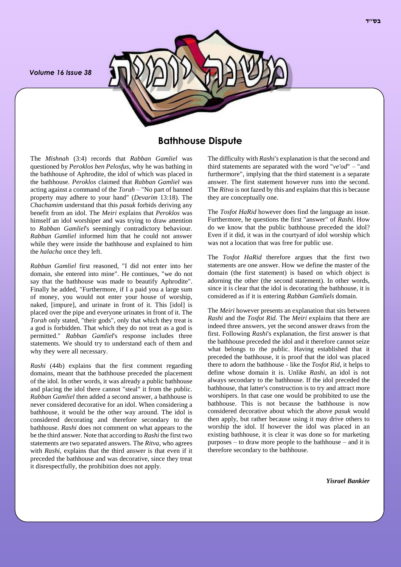*Volume 16 Issue 38*



# **Bathhouse Dispute**

The *Mishnah* (3:4) records that *Rabban Gamliel* was questioned by *Peroklos ben Pelosfus*, why he was bathing in the bathhouse of Aphrodite, the idol of which was placed in the bathhouse. *Peroklos* claimed that *Rabban Gamliel* was acting against a command of the *Torah* – "No part of banned property may adhere to your hand" (*Devarim* 13:18). The *Chachamim* understand that this *pasuk* forbids deriving any benefit from an idol. The *Meiri* explains that *Peroklos* was himself an idol worshiper and was trying to draw attention to *Rabban Gamliel*'s seemingly contradictory behaviour. *Rabban Gamliel* informed him that he could not answer while they were inside the bathhouse and explained to him the *halacha* once they left.

*Rabban Gamliel* first reasoned, "I did not enter into her domain, she entered into mine". He continues, "we do not say that the bathhouse was made to beautify Aphrodite". Finally he added, "Furthermore, if I a paid you a large sum of money, you would not enter your house of worship, naked, [impure], and urinate in front of it. This [idol] is placed over the pipe and everyone urinates in front of it. The *Torah* only stated, "their gods", only that which they treat is a god is forbidden. That which they do not treat as a god is permitted." *Rabban Gamliel*'s response includes three statements. We should try to understand each of them and why they were all necessary.

*Rashi* (44b) explains that the first comment regarding domains, meant that the bathhouse preceded the placement of the idol. In other words, it was already a public bathhouse and placing the idol there cannot "steal" it from the public. *Rabban Gamliel* then added a second answer, a bathhouse is never considered decorative for an idol. When considering a bathhouse, it would be the other way around. The idol is considered decorating and therefore secondary to the bathhouse. *Rashi* does not comment on what appears to the be the third answer. Note that according to *Rashi* the first two statements are two separated answers. The *Ritva*, who agrees with *Rashi*, explains that the third answer is that even if it preceded the bathhouse and was decorative, since they treat it disrespectfully, the prohibition does not apply.

The difficulty with *Rashi's* explanation is that the second and third statements are separated with the word "*ve'od*" – "and furthermore", implying that the third statement is a separate answer. The first statement however runs into the second. The *Ritva* is not fazed by this and explains that this is because they are conceptually one.

The *Tosfot HaRid* however does find the language an issue. Furthermore, he questions the first "answer" of *Rashi*. How do we know that the public bathhouse preceded the idol? Even if it did, it was in the courtyard of idol worship which was not a location that was free for public use.

The *Tosfot HaRid* therefore argues that the first two statements are one answer. How we define the master of the domain (the first statement) is based on which object is adorning the other (the second statement). In other words, since it is clear that the idol is decorating the bathhouse, it is considered as if it is entering *Rabban Gamliels* domain.

The *Meiri* however presents an explanation that sits between *Rashi* and the *Tosfot Rid.* The *Meiri* explains that there are indeed three answers, yet the second answer draws from the first. Following *Rashi*'s explanation, the first answer is that the bathhouse preceded the idol and it therefore cannot seize what belongs to the public. Having established that it preceded the bathhouse, it is proof that the idol was placed there to adorn the bathhouse - like the *Tosfot Rid*, it helps to define whose domain it is. Unlike *Rashi*, an idol is not always secondary to the bathhouse. If the idol preceded the bathhouse, that latter's construction is to try and attract more worshipers. In that case one would be prohibited to use the bathhouse. This is not because the bathhouse is now considered decorative about which the above *pasuk* would then apply, but rather because using it may drive others to worship the idol. If however the idol was placed in an existing bathhouse, it is clear it was done so for marketing purposes – to draw more people to the bathhouse – and it is therefore secondary to the bathhouse.

*Yisrael Bankier*